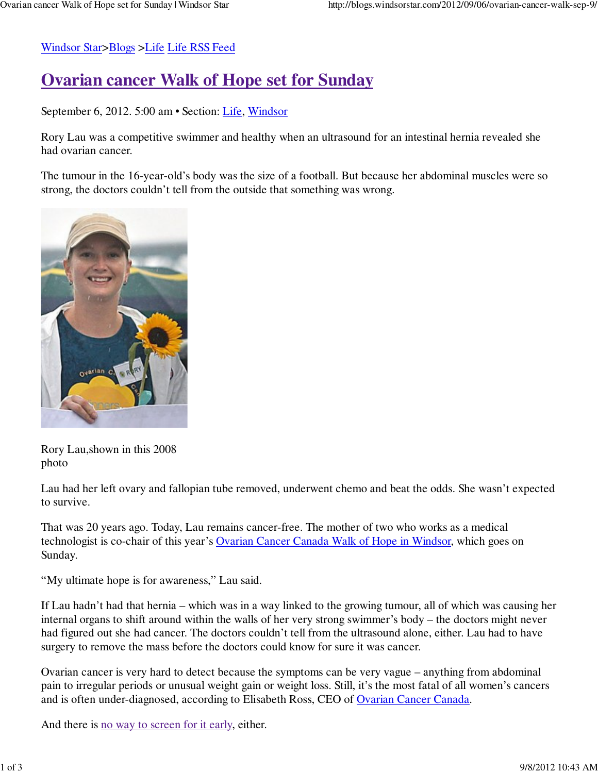Windsor Star>Blogs >Life Life RSS Feed

## **Ovarian cancer Walk of Hope set for Sunday**

September 6, 2012. 5:00 am • Section: Life, Windsor

Rory Lau was a competitive swimmer and healthy when an ultrasound for an intestinal hernia revealed she had ovarian cancer.

The tumour in the 16-year-old's body was the size of a football. But because her abdominal muscles were so strong, the doctors couldn't tell from the outside that something was wrong.



Rory Lau,shown in this 2008 photo

Lau had her left ovary and fallopian tube removed, underwent chemo and beat the odds. She wasn't expected to survive.

That was 20 years ago. Today, Lau remains cancer-free. The mother of two who works as a medical technologist is co-chair of this year's Ovarian Cancer Canada Walk of Hope in Windsor, which goes on Sunday.

"My ultimate hope is for awareness," Lau said.

If Lau hadn't had that hernia – which was in a way linked to the growing tumour, all of which was causing her internal organs to shift around within the walls of her very strong swimmer's body – the doctors might never had figured out she had cancer. The doctors couldn't tell from the ultrasound alone, either. Lau had to have surgery to remove the mass before the doctors could know for sure it was cancer.

Ovarian cancer is very hard to detect because the symptoms can be very vague – anything from abdominal pain to irregular periods or unusual weight gain or weight loss. Still, it's the most fatal of all women's cancers and is often under-diagnosed, according to Elisabeth Ross, CEO of Ovarian Cancer Canada.

And there is no way to screen for it early, either.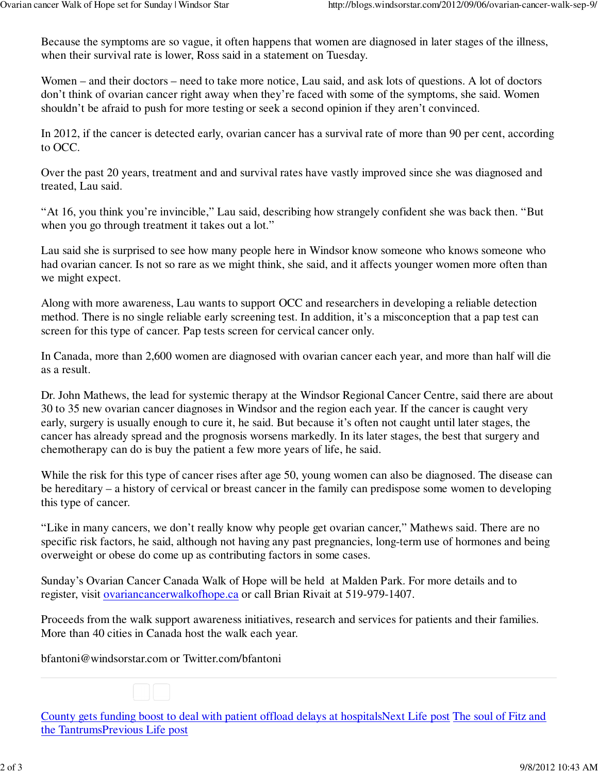Because the symptoms are so vague, it often happens that women are diagnosed in later stages of the illness, when their survival rate is lower, Ross said in a statement on Tuesday.

Women – and their doctors – need to take more notice, Lau said, and ask lots of questions. A lot of doctors don't think of ovarian cancer right away when they're faced with some of the symptoms, she said. Women shouldn't be afraid to push for more testing or seek a second opinion if they aren't convinced.

In 2012, if the cancer is detected early, ovarian cancer has a survival rate of more than 90 per cent, according to OCC.

Over the past 20 years, treatment and and survival rates have vastly improved since she was diagnosed and treated, Lau said.

"At 16, you think you're invincible," Lau said, describing how strangely confident she was back then. "But when you go through treatment it takes out a lot."

Lau said she is surprised to see how many people here in Windsor know someone who knows someone who had ovarian cancer. Is not so rare as we might think, she said, and it affects younger women more often than we might expect.

Along with more awareness, Lau wants to support OCC and researchers in developing a reliable detection method. There is no single reliable early screening test. In addition, it's a misconception that a pap test can screen for this type of cancer. Pap tests screen for cervical cancer only.

In Canada, more than 2,600 women are diagnosed with ovarian cancer each year, and more than half will die as a result.

Dr. John Mathews, the lead for systemic therapy at the Windsor Regional Cancer Centre, said there are about 30 to 35 new ovarian cancer diagnoses in Windsor and the region each year. If the cancer is caught very early, surgery is usually enough to cure it, he said. But because it's often not caught until later stages, the cancer has already spread and the prognosis worsens markedly. In its later stages, the best that surgery and chemotherapy can do is buy the patient a few more years of life, he said.

While the risk for this type of cancer rises after age 50, young women can also be diagnosed. The disease can be hereditary – a history of cervical or breast cancer in the family can predispose some women to developing this type of cancer.

"Like in many cancers, we don't really know why people get ovarian cancer," Mathews said. There are no specific risk factors, he said, although not having any past pregnancies, long-term use of hormones and being overweight or obese do come up as contributing factors in some cases.

Sunday's Ovarian Cancer Canada Walk of Hope will be held at Malden Park. For more details and to register, visit ovariancancerwalkofhope.ca or call Brian Rivait at 519-979-1407.

Proceeds from the walk support awareness initiatives, research and services for patients and their families. More than 40 cities in Canada host the walk each year.

bfantoni@windsorstar.com or Twitter.com/bfantoni

County gets funding boost to deal with patient offload delays at hospitalsNext Life post The soul of Fitz and the TantrumsPrevious Life post